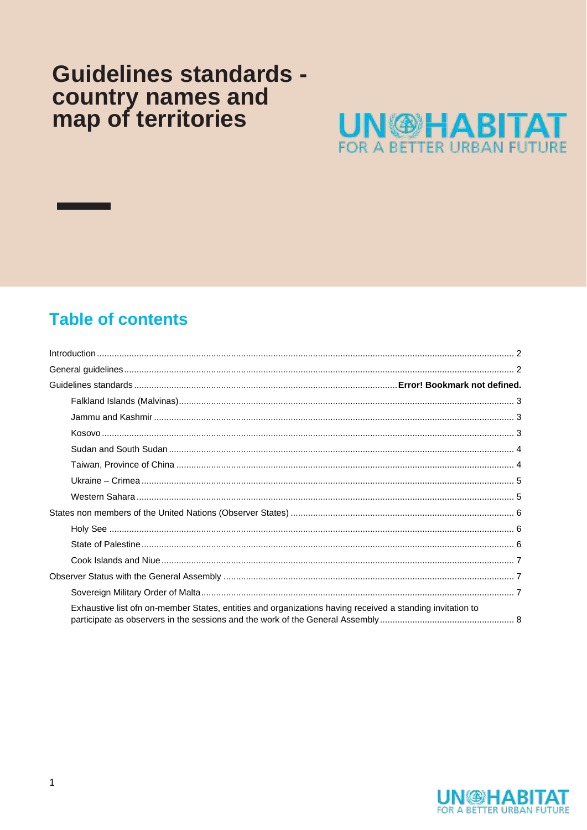# **Guidelines standards** country names and<br>map of territories



# **Table of contents**

| Exhaustive list ofn on-member States, entities and organizations having received a standing invitation to |
|-----------------------------------------------------------------------------------------------------------|

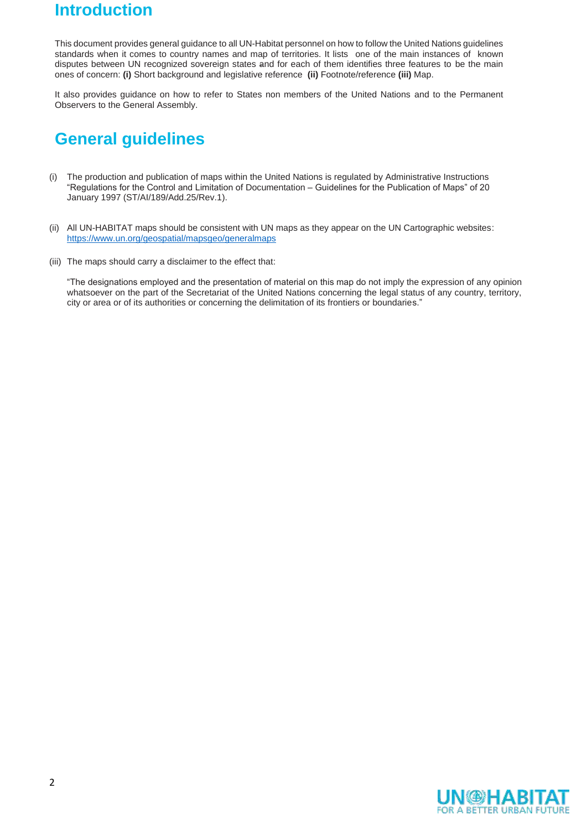# <span id="page-1-0"></span>**Introduction**

This document provides general guidance to all UN-Habitat personnel on how to follow the United Nations guidelines standards when it comes to country names and map of territories. It lists one of the main instances of known disputes between UN recognized sovereign states and for each of them identifies three features to be the main ones of concern: **(i)** Short background and legislative reference **(ii)** Footnote/reference **(iii)** Map.

It also provides guidance on how to refer to States non members of the United Nations and to the Permanent Observers to the General Assembly.

# <span id="page-1-1"></span>**General guidelines**

- (i) The production and publication of maps within the United Nations is regulated by Administrative Instructions "Regulations for the Control and Limitation of Documentation – Guidelines for the Publication of Maps" of 20 January 1997 (ST/AI/189/Add.25/Rev.1).
- (ii) All UN-HABITAT maps should be consistent with UN maps as they appear on the UN Cartographic websites: <https://www.un.org/geospatial/mapsgeo/generalmaps>
- (iii) The maps should carry a disclaimer to the effect that:

"The designations employed and the presentation of material on this map do not imply the expression of any opinion whatsoever on the part of the Secretariat of the United Nations concerning the legal status of any country, territory, city or area or of its authorities or concerning the delimitation of its frontiers or boundaries."

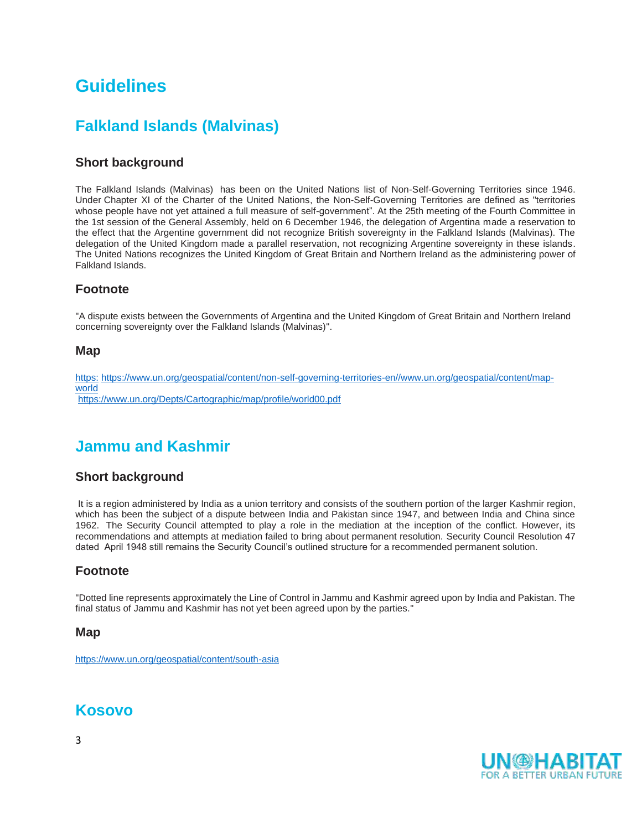# **Guidelines**

### **Falkland Islands (Malvinas)**

#### **Short background**

<span id="page-2-0"></span>The Falkland Islands (Malvinas) has been on the United Nations list of Non-Self-Governing Territories since 1946. Under [Chapter XI of the Charter of the United Nations,](http://www.un.org/en/sections/un-charter/chapter-xi/index.html) the Non-Self-Governing Territories are defined as "territories whose people have not yet attained a full measure of self-government". At the 25th meeting of the Fourth Committee in the 1st session of the General Assembly, held on 6 December 1946, the delegation of Argentina made a reservation to the effect that the Argentine government did not recognize British sovereignty in the Falkland Islands (Malvinas). The delegation of the United Kingdom made a parallel reservation, not recognizing Argentine sovereignty in these islands. The United Nations recognizes the United Kingdom of Great Britain and Northern Ireland as the administering power of Falkland Islands.

#### **Footnote**

"A dispute exists between the Governments of Argentina and the United Kingdom of Great Britain and Northern Ireland concerning sovereignty over the Falkland Islands (Malvinas)".

#### **Map**

https: [https://www.un.org/geospatial/content/non-self-governing-territories-en//www.un.org/geospatial/content/map](https://www.un.org/geospatial/content/map-world)[world](https://www.un.org/geospatial/content/map-world) <https://www.un.org/Depts/Cartographic/map/profile/world00.pdf>

### **Jammu and Kashmir**

#### **Short background**

<span id="page-2-1"></span>It is a region administered by India as a [union territory](https://en.wikipedia.org/wiki/Union_territory) and consists of the southern portion of the larger [Kashmir](https://en.wikipedia.org/wiki/Kashmir) region, which has been the subject of a dispute between India and Pakistan since 1947, and between India and China since 1962. The Security Council attempted to play a role in the mediation at the inception of the conflict. However, its recommendations and attempts at mediation failed to bring about permanent resolution. Security Council Resolution 47 dated April 1948 still remains the Security Council's outlined structure for a recommended permanent solution.

#### **Footnote**

"Dotted line represents approximately the Line of Control in Jammu and Kashmir agreed upon by India and Pakistan. The final status of Jammu and Kashmir has not yet been agreed upon by the parties."

#### **Map**

<https://www.un.org/geospatial/content/south-asia>

### <span id="page-2-2"></span>**Kosovo**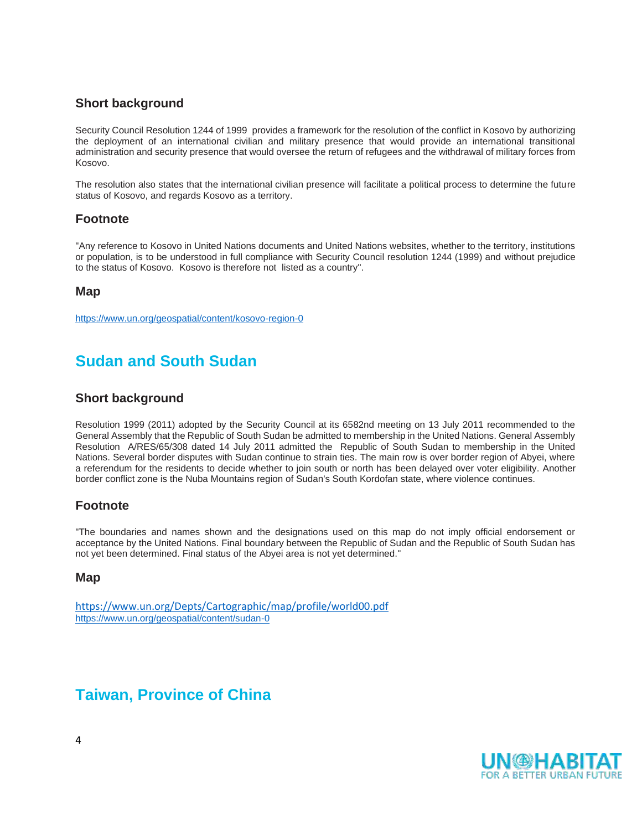#### **Short background**

Security Council Resolution 1244 of 1999 provides a framework for the resolution of the conflict in Kosovo by authorizing the deployment of an international civilian and military presence that would provide an international transitional administration and security presence that would oversee the return of refugees and the withdrawal of military forces from Kosovo.

The resolution also states that the international civilian presence will facilitate a political process to determine the future status of Kosovo, and regards Kosovo as a territory.

#### **Footnote**

"Any reference to Kosovo in United Nations documents and United Nations websites, whether to the territory, institutions or population, is to be understood in full compliance with Security Council resolution 1244 (1999) and without prejudice to the status of Kosovo. Kosovo is therefore not listed as a country".

#### **Map**

<https://www.un.org/geospatial/content/kosovo-region-0>

# **Sudan and South Sudan**

#### <span id="page-3-0"></span>**Short background**

Resolution 1999 (2011) adopted by the Security Council at its 6582nd meeting on 13 July 2011 recommended to the General Assembly that the Republic of South Sudan be admitted to membership in the United Nations. General Assembly Resolution A/RES/65/308 dated 14 July 2011 admitted the Republic of South Sudan to membership in the United Nations. Several border disputes with Sudan continue to strain ties. The main row is over border region of Abyei, where a referendum for the residents to decide whether to join south or north has been delayed over voter eligibility. Another border conflict zone is the Nuba Mountains region of Sudan's South Kordofan state, where violence continues.

#### **Footnote**

"The boundaries and names shown and the designations used on this map do not imply official endorsement or acceptance by the United Nations. Final boundary between the Republic of Sudan and the Republic of South Sudan has not yet been determined. Final status of the Abyei area is not yet determined."

#### **Map**

<https://www.un.org/Depts/Cartographic/map/profile/world00.pdf> <https://www.un.org/geospatial/content/sudan-0>

# <span id="page-3-1"></span>**Taiwan, Province of China**

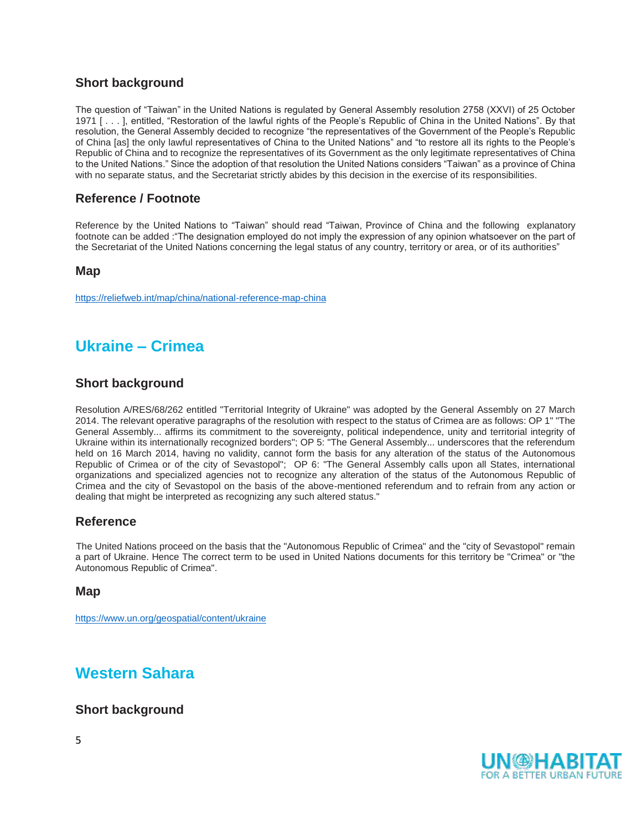#### **Short background**

The question of "Taiwan" in the United Nations is regulated by General Assembly resolution 2758 (XXVI) of 25 October 1971 [ . . . ], entitled, "Restoration of the lawful rights of the People's Republic of China in the United Nations". By that resolution, the General Assembly decided to recognize "the representatives of the Government of the People's Republic of China [as] the only lawful representatives of China to the United Nations" and "to restore all its rights to the People's Republic of China and to recognize the representatives of its Government as the only legitimate representatives of China to the United Nations." Since the adoption of that resolution the United Nations considers "Taiwan" as a province of China with no separate status, and the Secretariat strictly abides by this decision in the exercise of its responsibilities.

#### **Reference / Footnote**

Reference by the United Nations to "Taiwan" should read "Taiwan, Province of China and the following explanatory footnote can be added :"The designation employed do not imply the expression of any opinion whatsoever on the part of the Secretariat of the United Nations concerning the legal status of any country, territory or area, or of its authorities"

#### **Map**

<https://reliefweb.int/map/china/national-reference-map-china>

# **Ukraine – Crimea**

#### **Short background**

<span id="page-4-0"></span>Resolution A/RES/68/262 entitled "Territorial Integrity of Ukraine" was adopted by the General Assembly on 27 March 2014. The relevant operative paragraphs of the resolution with respect to the status of Crimea are as follows: OP 1" "The General Assembly... affirms its commitment to the sovereignty, political independence, unity and territorial integrity of Ukraine within its internationally recognized borders"; OP 5: "The General Assembly... underscores that the referendum held on 16 March 2014, having no validity, cannot form the basis for any alteration of the status of the Autonomous Republic of Crimea or of the city of Sevastopol"; OP 6: "The General Assembly calls upon all States, international organizations and specialized agencies not to recognize any alteration of the status of the Autonomous Republic of Crimea and the city of Sevastopol on the basis of the above-mentioned referendum and to refrain from any action or dealing that might be interpreted as recognizing any such altered status."

#### **Reference**

The United Nations proceed on the basis that the "Autonomous Republic of Crimea" and the "city of Sevastopol" remain a part of Ukraine. Hence The correct term to be used in United Nations documents for this territory be "Crimea" or "the Autonomous Republic of Crimea".

#### **Map**

<https://www.un.org/geospatial/content/ukraine>

### **Western Sahara**

#### <span id="page-4-1"></span>**Short background**

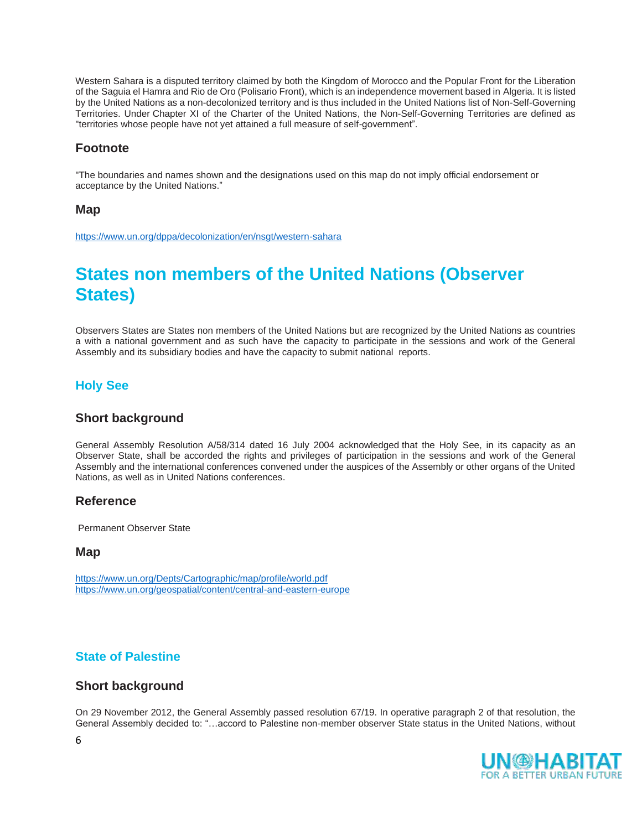[Western Sahara](https://en.wikipedia.org/wiki/Western_Sahara) is a [disputed territory](https://en.wikipedia.org/wiki/Territorial_dispute) claimed by both the Kingdom of [Morocco](https://en.wikipedia.org/wiki/Morocco) and the Popular Front for the Liberation of the [Saguia el Hamra and Rio de Oro \(Polisario Front\),](https://en.wikipedia.org/wiki/Polisario_Front) which is an independence movement based in [Algeria.](https://en.wikipedia.org/wiki/Algeria) It is listed by the United Nations as a non[-decolonized](https://en.wikipedia.org/wiki/Decolonized) territory and is thus included in the [United Nations list of Non-Self-Governing](https://en.wikipedia.org/wiki/United_Nations_list_of_Non-Self-Governing_Territories)  [Territories.](https://en.wikipedia.org/wiki/United_Nations_list_of_Non-Self-Governing_Territories) Under [Chapter XI of the Charter of the United Nations,](http://www.un.org/en/sections/un-charter/chapter-xi/index.html) the Non-Self-Governing Territories are defined as "territories whose people have not yet attained a full measure of self-government".

#### **Footnote**

"The boundaries and names shown and the designations used on this map do not imply official endorsement or acceptance by the United Nations."

#### **Map**

<https://www.un.org/dppa/decolonization/en/nsgt/western-sahara>

# **States non members of the United Nations (Observer States)**

<span id="page-5-0"></span>Observers States are States non members of the United Nations but are recognized by the United Nations as countries a with a national government and as such have the capacity to participate in the sessions and work of the General Assembly and its subsidiary bodies and have the capacity to submit national reports.

#### **Holy See**

#### **Short background**

<span id="page-5-1"></span>General Assembly Resolution A/58/314 dated 16 July 2004 acknowledged that the Holy See, in its capacity as an Observer State, shall be accorded the rights and privileges of participation in the sessions and work of the General Assembly and the international conferences convened under the auspices of the Assembly or other organs of the United Nations, as well as in United Nations conferences.

#### **Reference**

Permanent Observer State

#### **Map**

<https://www.un.org/Depts/Cartographic/map/profile/world.pdf> <https://www.un.org/geospatial/content/central-and-eastern-europe>

#### **State of Palestine**

#### **Short background**

<span id="page-5-2"></span>On 29 November 2012, the General Assembly passed resolution 67/19. In operative paragraph 2 of that resolution, the General Assembly decided to: "…accord to Palestine non-member observer State status in the United Nations, without

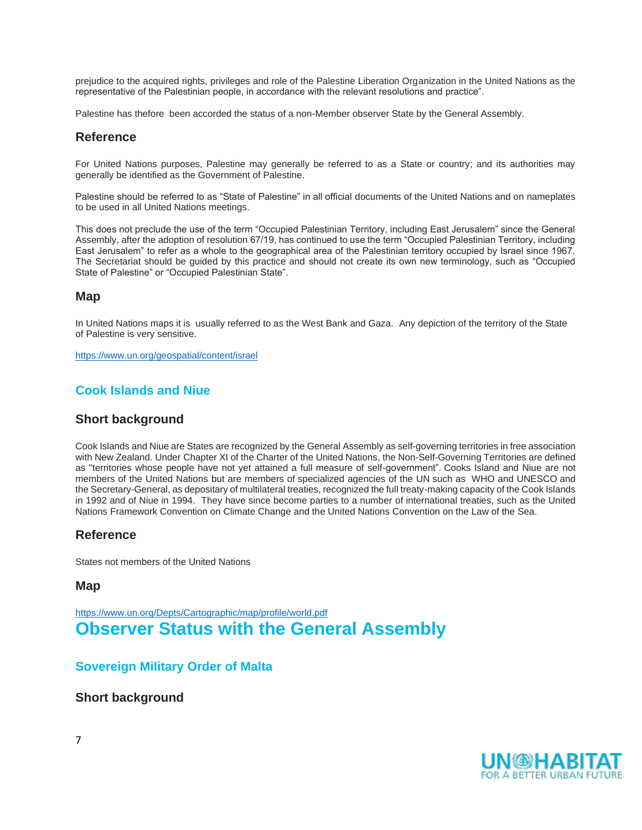prejudice to the acquired rights, privileges and role of the Palestine Liberation Organization in the United Nations as the representative of the Palestinian people, in accordance with the relevant resolutions and practice".

Palestine has thefore been accorded the status of a non-Member observer State by the General Assembly.

#### **Reference**

For United Nations purposes, Palestine may generally be referred to as a State or country; and its authorities may generally be identified as the Government of Palestine.

Palestine should be referred to as "State of Palestine" in all official documents of the United Nations and on nameplates to be used in all United Nations meetings.

This does not preclude the use of the term "Occupied Palestinian Territory, including East Jerusalem" since the General Assembly, after the adoption of resolution 67/19, has continued to use the term "Occupied Palestinian Territory, including East Jerusalem" to refer as a whole to the geographical area of the Palestinian territory occupied by Israel since 1967. The Secretariat should be guided by this practice and should not create its own new terminology, such as "Occupied State of Palestine" or "Occupied Palestinian State".

#### **Map**

In United Nations maps it is usually referred to as the West Bank and Gaza. Any depiction of the territory of the State of Palestine is very sensitive.

<https://www.un.org/geospatial/content/israel>

#### **Cook Islands and Niue**

#### **Short background**

<span id="page-6-0"></span>Cook Islands and Niue are States are recognized by the General Assembly as self-governing territories in free association with New Zealand. Under [Chapter XI of the Charter of the United Nations,](http://www.un.org/en/sections/un-charter/chapter-xi/index.html) the Non-Self-Governing Territories are defined as "territories whose people have not yet attained a full measure of self-government". Cooks Island and Niue are not members of the United Nations but are members of [specialized agencies of the UN](https://en.wikipedia.org/wiki/List_of_specialized_agencies_of_the_United_Nations) such as WHO and UNESCO and the Secretary-General, as depositary of multilateral treaties, recognized the full treaty-making capacity of the Cook Islands in 1992 and of Niue in 1994. They have since become parties to a number of international treaties, such as the [United](https://en.wikipedia.org/wiki/United_Nations_Framework_Convention_on_Climate_Change)  [Nations Framework Convention on Climate Change](https://en.wikipedia.org/wiki/United_Nations_Framework_Convention_on_Climate_Change) and the [United Nations Convention on the Law of the Sea.](https://en.wikipedia.org/wiki/United_Nations_Convention_on_the_Law_of_the_Sea)

#### **Reference**

States not members of the United Nations

#### **Map**

<https://www.un.org/Depts/Cartographic/map/profile/world.pdf> **Observer Status with the General Assembly** 

#### <span id="page-6-1"></span>**Sovereign Military Order of Malta**

#### <span id="page-6-2"></span>**Short background**